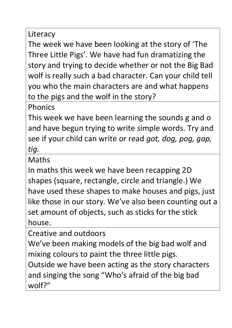Literacy

The week we have been looking at the story of 'The Three Little Pigs'. We have had fun dramatizing the story and trying to decide whether or not the Big Bad wolf is really such a bad character. Can your child tell you who the main characters are and what happens to the pigs and the wolf in the story?

Phonics

This week we have been learning the sounds g and o and have begun trying to write simple words. Try and see if your child can write or read *got, dog, pog, gap, tig.*

**Maths** 

In maths this week we have been recapping 2D shapes (square, rectangle, circle and triangle.) We have used these shapes to make houses and pigs, just like those in our story. We've also been counting out a set amount of objects, such as sticks for the stick house.

Creative and outdoors

We've been making models of the big bad wolf and mixing colours to paint the three little pigs.

Outside we have been acting as the story characters and singing the song "Who's afraid of the big bad wolf?"